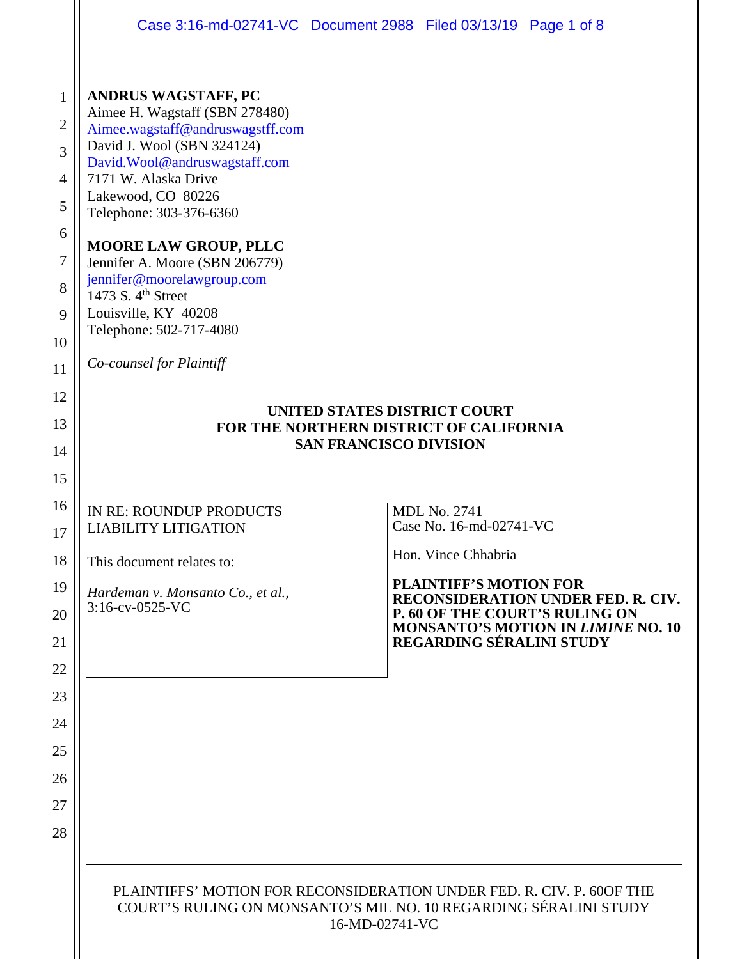|                                                                                            | Case 3:16-md-02741-VC Document 2988 Filed 03/13/19 Page 1 of 8                                                                                                                                                                                                                                                                                                                                                                                            |                                     |                                                                      |                                           |
|--------------------------------------------------------------------------------------------|-----------------------------------------------------------------------------------------------------------------------------------------------------------------------------------------------------------------------------------------------------------------------------------------------------------------------------------------------------------------------------------------------------------------------------------------------------------|-------------------------------------|----------------------------------------------------------------------|-------------------------------------------|
| 1<br>$\overline{2}$<br>3<br>$\overline{4}$<br>5<br>6<br>$\tau$<br>8<br>9<br>10<br>11<br>12 | <b>ANDRUS WAGSTAFF, PC</b><br>Aimee H. Wagstaff (SBN 278480)<br>Aimee.wagstaff@andruswagstff.com<br>David J. Wool (SBN 324124)<br>David.Wool@andruswagstaff.com<br>7171 W. Alaska Drive<br>Lakewood, CO 80226<br>Telephone: 303-376-6360<br><b>MOORE LAW GROUP, PLLC</b><br>Jennifer A. Moore (SBN 206779)<br>jennifer@moorelawgroup.com<br>1473 S. 4 <sup>th</sup> Street<br>Louisville, KY 40208<br>Telephone: 502-717-4080<br>Co-counsel for Plaintiff | <b>UNITED STATES DISTRICT COURT</b> |                                                                      |                                           |
| 13                                                                                         | FOR THE NORTHERN DISTRICT OF CALIFORNIA<br><b>SAN FRANCISCO DIVISION</b>                                                                                                                                                                                                                                                                                                                                                                                  |                                     |                                                                      |                                           |
| 14                                                                                         |                                                                                                                                                                                                                                                                                                                                                                                                                                                           |                                     |                                                                      |                                           |
| 15                                                                                         |                                                                                                                                                                                                                                                                                                                                                                                                                                                           |                                     |                                                                      |                                           |
| 16<br>17                                                                                   | IN RE: ROUNDUP PRODUCTS<br><b>LIABILITY LITIGATION</b>                                                                                                                                                                                                                                                                                                                                                                                                    |                                     | <b>MDL No. 2741</b><br>Case No. 16-md-02741-VC                       |                                           |
| 18                                                                                         | This document relates to:                                                                                                                                                                                                                                                                                                                                                                                                                                 |                                     | Hon. Vince Chhabria                                                  |                                           |
| 19                                                                                         | Hardeman v. Monsanto Co., et al.,<br>3:16-cv-0525-VC                                                                                                                                                                                                                                                                                                                                                                                                      | <b>PLAINTIFF'S MOTION FOR</b>       |                                                                      |                                           |
| 20                                                                                         |                                                                                                                                                                                                                                                                                                                                                                                                                                                           |                                     | RECONSIDERATION UNDER FED. R. CIV.<br>P. 60 OF THE COURT'S RULING ON |                                           |
| 21                                                                                         |                                                                                                                                                                                                                                                                                                                                                                                                                                                           |                                     | REGARDING SÉRALINI STUDY                                             | <b>MONSANTO'S MOTION IN LIMINE NO. 10</b> |
| 22                                                                                         |                                                                                                                                                                                                                                                                                                                                                                                                                                                           |                                     |                                                                      |                                           |
| 23                                                                                         |                                                                                                                                                                                                                                                                                                                                                                                                                                                           |                                     |                                                                      |                                           |
| 24                                                                                         |                                                                                                                                                                                                                                                                                                                                                                                                                                                           |                                     |                                                                      |                                           |
| 25                                                                                         |                                                                                                                                                                                                                                                                                                                                                                                                                                                           |                                     |                                                                      |                                           |
| 26                                                                                         |                                                                                                                                                                                                                                                                                                                                                                                                                                                           |                                     |                                                                      |                                           |
| 27                                                                                         |                                                                                                                                                                                                                                                                                                                                                                                                                                                           |                                     |                                                                      |                                           |
| 28                                                                                         |                                                                                                                                                                                                                                                                                                                                                                                                                                                           |                                     |                                                                      |                                           |
|                                                                                            | PLAINTIFFS' MOTION FOR RECONSIDERATION UNDER FED. R. CIV. P. 60OF THE<br>COURT'S RULING ON MONSANTO'S MIL NO. 10 REGARDING SÉRALINI STUDY<br>16-MD-02741-VC                                                                                                                                                                                                                                                                                               |                                     |                                                                      |                                           |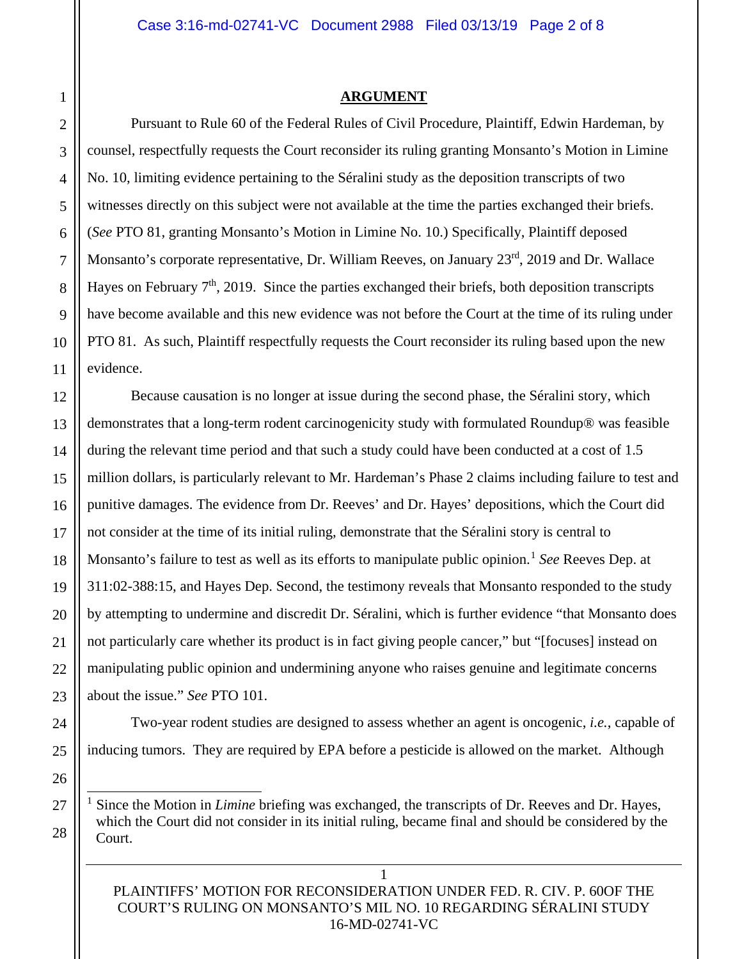#### **ARGUMENT**

Pursuant to Rule 60 of the Federal Rules of Civil Procedure, Plaintiff, Edwin Hardeman, by counsel, respectfully requests the Court reconsider its ruling granting Monsanto's Motion in Limine No. 10, limiting evidence pertaining to the Séralini study as the deposition transcripts of two witnesses directly on this subject were not available at the time the parties exchanged their briefs. (*See* PTO 81, granting Monsanto's Motion in Limine No. 10.) Specifically, Plaintiff deposed Monsanto's corporate representative, Dr. William Reeves, on January 23<sup>rd</sup>, 2019 and Dr. Wallace Hayes on February  $7<sup>th</sup>$ , 2019. Since the parties exchanged their briefs, both deposition transcripts have become available and this new evidence was not before the Court at the time of its ruling under PTO 81. As such, Plaintiff respectfully requests the Court reconsider its ruling based upon the new evidence.

Because causation is no longer at issue during the second phase, the Séralini story, which demonstrates that a long-term rodent carcinogenicity study with formulated Roundup® was feasible during the relevant time period and that such a study could have been conducted at a cost of 1.5 million dollars, is particularly relevant to Mr. Hardeman's Phase 2 claims including failure to test and punitive damages. The evidence from Dr. Reeves' and Dr. Hayes' depositions, which the Court did not consider at the time of its initial ruling, demonstrate that the Séralini story is central to Monsanto's failure to test as well as its efforts to manipulate public opinion.<sup>[1](#page-1-0)</sup> See Reeves Dep. at 311:02-388:15, and Hayes Dep. Second, the testimony reveals that Monsanto responded to the study by attempting to undermine and discredit Dr. Séralini, which is further evidence "that Monsanto does not particularly care whether its product is in fact giving people cancer," but "[focuses] instead on manipulating public opinion and undermining anyone who raises genuine and legitimate concerns about the issue." *See* PTO 101.

Two-year rodent studies are designed to assess whether an agent is oncogenic, *i.e.*, capable of inducing tumors. They are required by EPA before a pesticide is allowed on the market. Although

<span id="page-1-0"></span> 1 Since the Motion in *Limine* briefing was exchanged, the transcripts of Dr. Reeves and Dr. Hayes, which the Court did not consider in its initial ruling, became final and should be considered by the Court.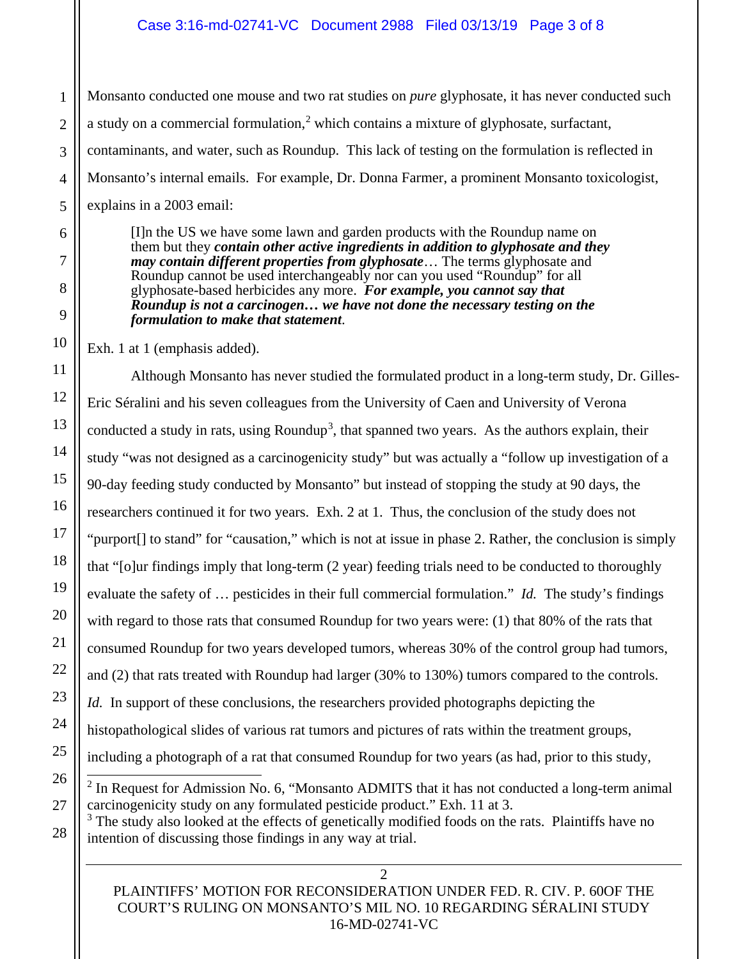Monsanto conducted one mouse and two rat studies on *pure* glyphosate, it has never conducted such a study on a commercial formulation, $<sup>2</sup>$  $<sup>2</sup>$  $<sup>2</sup>$  which contains a mixture of glyphosate, surfactant,</sup> contaminants, and water, such as Roundup. This lack of testing on the formulation is reflected in Monsanto's internal emails. For example, Dr. Donna Farmer, a prominent Monsanto toxicologist, explains in a 2003 email:

[I]n the US we have some lawn and garden products with the Roundup name on them but they *contain other active ingredients in addition to glyphosate and they may contain different properties from glyphosate*… The terms glyphosate and Roundup cannot be used interchangeably nor can you used "Roundup" for all glyphosate-based herbicides any more. *For example, you cannot say that Roundup is not a carcinogen… we have not done the necessary testing on the formulation to make that statement*.

Exh. 1 at 1 (emphasis added).

Although Monsanto has never studied the formulated product in a long-term study, Dr. Gilles-Eric Séralini and his seven colleagues from the University of Caen and University of Verona conducted a study in rats, using Roundup<sup>[3](#page-2-1)</sup>, that spanned two years. As the authors explain, their study "was not designed as a carcinogenicity study" but was actually a "follow up investigation of a 90-day feeding study conducted by Monsanto" but instead of stopping the study at 90 days, the researchers continued it for two years. Exh. 2 at 1. Thus, the conclusion of the study does not "purport[] to stand" for "causation," which is not at issue in phase 2. Rather, the conclusion is simply that "[o]ur findings imply that long-term (2 year) feeding trials need to be conducted to thoroughly evaluate the safety of … pesticides in their full commercial formulation." *Id.* The study's findings with regard to those rats that consumed Roundup for two years were: (1) that 80% of the rats that consumed Roundup for two years developed tumors, whereas 30% of the control group had tumors, and (2) that rats treated with Roundup had larger (30% to 130%) tumors compared to the controls. *Id.* In support of these conclusions, the researchers provided photographs depicting the histopathological slides of various rat tumors and pictures of rats within the treatment groups, including a photograph of a rat that consumed Roundup for two years (as had, prior to this study,  $2$  In Request for Admission No. 6, "Monsanto ADMITS that it has not conducted a long-term animal

<span id="page-2-0"></span>carcinogenicity study on any formulated pesticide product." Exh. 11 at 3.

<span id="page-2-1"></span> $3$  The study also looked at the effects of genetically modified foods on the rats. Plaintiffs have no intention of discussing those findings in any way at trial.

PLAINTIFFS' MOTION FOR RECONSIDERATION UNDER FED. R. CIV. P. 60OF THE COURT'S RULING ON MONSANTO'S MIL NO. 10 REGARDING SÉRALINI STUDY 16-MD-02741-VC

 $\mathcal{L}$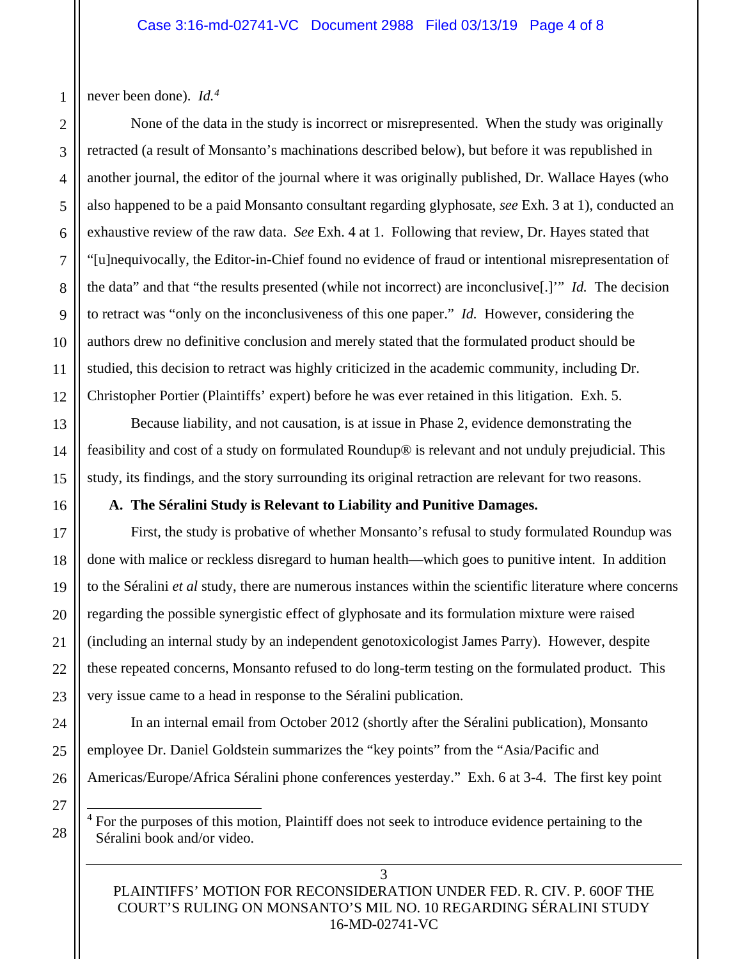never been done). *Id.[4](#page-3-0)*

None of the data in the study is incorrect or misrepresented. When the study was originally retracted (a result of Monsanto's machinations described below), but before it was republished in another journal, the editor of the journal where it was originally published, Dr. Wallace Hayes (who also happened to be a paid Monsanto consultant regarding glyphosate, *see* Exh. 3 at 1), conducted an exhaustive review of the raw data. *See* Exh. 4 at 1. Following that review, Dr. Hayes stated that "[u]nequivocally, the Editor-in-Chief found no evidence of fraud or intentional misrepresentation of the data" and that "the results presented (while not incorrect) are inconclusive[.]'" *Id.* The decision to retract was "only on the inconclusiveness of this one paper." *Id.* However, considering the authors drew no definitive conclusion and merely stated that the formulated product should be studied, this decision to retract was highly criticized in the academic community, including Dr. Christopher Portier (Plaintiffs' expert) before he was ever retained in this litigation. Exh. 5.

Because liability, and not causation, is at issue in Phase 2, evidence demonstrating the feasibility and cost of a study on formulated Roundup® is relevant and not unduly prejudicial. This study, its findings, and the story surrounding its original retraction are relevant for two reasons.

### **A. The Séralini Study is Relevant to Liability and Punitive Damages.**

First, the study is probative of whether Monsanto's refusal to study formulated Roundup was done with malice or reckless disregard to human health—which goes to punitive intent. In addition to the Séralini *et al* study, there are numerous instances within the scientific literature where concerns regarding the possible synergistic effect of glyphosate and its formulation mixture were raised (including an internal study by an independent genotoxicologist James Parry). However, despite these repeated concerns, Monsanto refused to do long-term testing on the formulated product. This very issue came to a head in response to the Séralini publication.

In an internal email from October 2012 (shortly after the Séralini publication), Monsanto employee Dr. Daniel Goldstein summarizes the "key points" from the "Asia/Pacific and Americas/Europe/Africa Séralini phone conferences yesterday." Exh. 6 at 3-4. The first key point

<span id="page-3-0"></span> $4$  For the purposes of this motion, Plaintiff does not seek to introduce evidence pertaining to the Séralini book and/or video.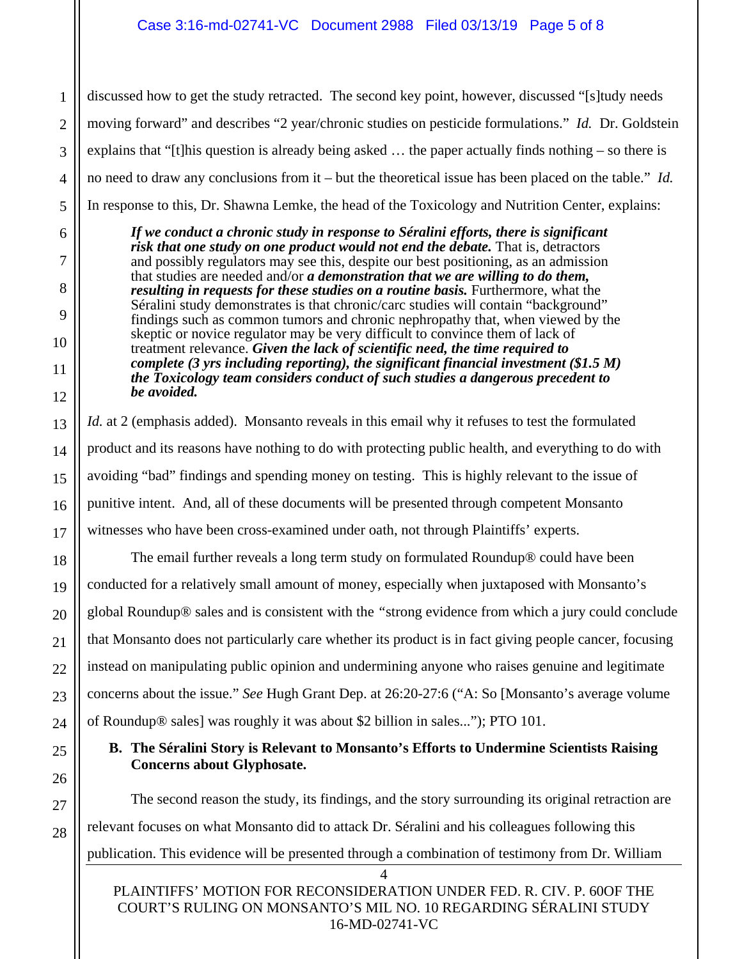discussed how to get the study retracted. The second key point, however, discussed "[s]tudy needs moving forward" and describes "2 year/chronic studies on pesticide formulations." *Id.* Dr. Goldstein explains that "[t]his question is already being asked … the paper actually finds nothing – so there is no need to draw any conclusions from it – but the theoretical issue has been placed on the table." *Id.* In response to this, Dr. Shawna Lemke, the head of the Toxicology and Nutrition Center, explains:

*If we conduct a chronic study in response to Séralini efforts, there is significant risk that one study on one product would not end the debate.* That is, detractors and possibly regulators may see this, despite our best positioning, as an admission that studies are needed and/or *a demonstration that we are willing to do them, resulting in requests for these studies on a routine basis.* Furthermore, what the Séralini study demonstrates is that chronic/carc studies will contain "background" findings such as common tumors and chronic nephropathy that, when viewed by the skeptic or novice regulator may be very difficult to convince them of lack of treatment relevance. *Given the lack of scientific need, the time required to complete (3 yrs including reporting), the significant financial investment (\$1.5 M) the Toxicology team considers conduct of such studies a dangerous precedent to be avoided.*

*Id.* at 2 (emphasis added). Monsanto reveals in this email why it refuses to test the formulated product and its reasons have nothing to do with protecting public health, and everything to do with avoiding "bad" findings and spending money on testing. This is highly relevant to the issue of punitive intent. And, all of these documents will be presented through competent Monsanto witnesses who have been cross-examined under oath, not through Plaintiffs' experts.

The email further reveals a long term study on formulated Roundup® could have been conducted for a relatively small amount of money, especially when juxtaposed with Monsanto's global Roundup® sales and is consistent with the *"*strong evidence from which a jury could conclude that Monsanto does not particularly care whether its product is in fact giving people cancer, focusing instead on manipulating public opinion and undermining anyone who raises genuine and legitimate concerns about the issue." *See* Hugh Grant Dep. at 26:20-27:6 ("A: So [Monsanto's average volume of Roundup® sales] was roughly it was about \$2 billion in sales..."); PTO 101.

# **B. The Séralini Story is Relevant to Monsanto's Efforts to Undermine Scientists Raising Concerns about Glyphosate.**

The second reason the study, its findings, and the story surrounding its original retraction are relevant focuses on what Monsanto did to attack Dr. Séralini and his colleagues following this publication. This evidence will be presented through a combination of testimony from Dr. William

1

PLAINTIFFS' MOTION FOR RECONSIDERATION UNDER FED. R. CIV. P. 60OF THE COURT'S RULING ON MONSANTO'S MIL NO. 10 REGARDING SÉRALINI STUDY 16-MD-02741-VC

4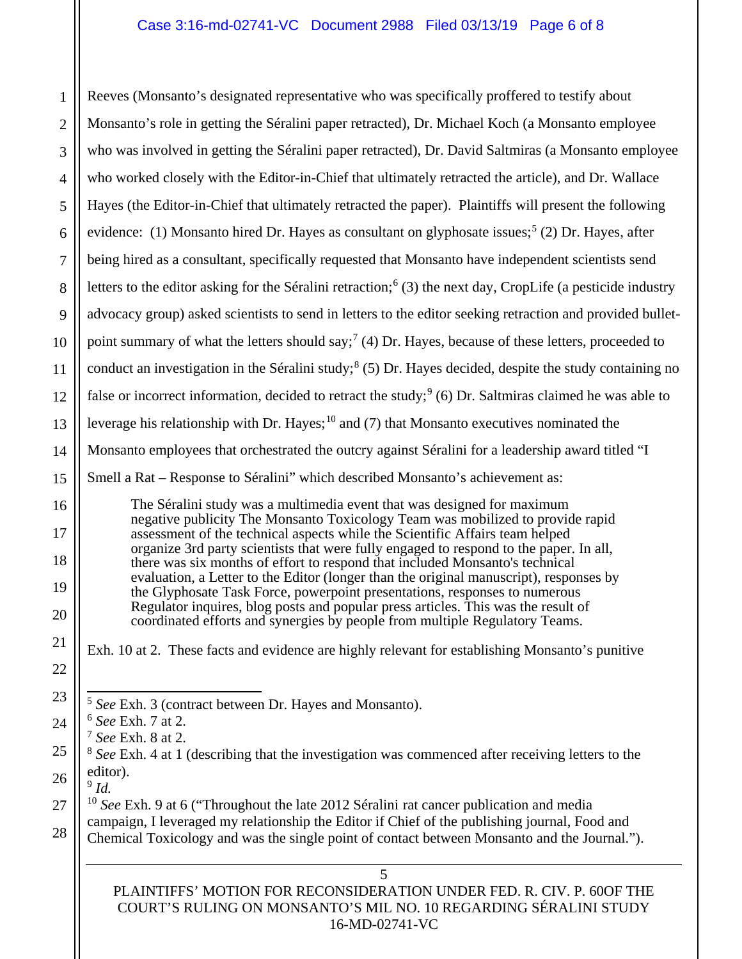# Case 3:16-md-02741-VC Document 2988 Filed 03/13/19 Page 6 of 8

<span id="page-5-5"></span><span id="page-5-4"></span><span id="page-5-3"></span><span id="page-5-2"></span><span id="page-5-1"></span><span id="page-5-0"></span>5 1 2 3 4 5 6 7 8 9 10 11 12 13 14 15 16 17 18 19 20 21 22 23 24 25 26 27 28 Reeves (Monsanto's designated representative who was specifically proffered to testify about Monsanto's role in getting the Séralini paper retracted), Dr. Michael Koch (a Monsanto employee who was involved in getting the Séralini paper retracted), Dr. David Saltmiras (a Monsanto employee who worked closely with the Editor-in-Chief that ultimately retracted the article), and Dr. Wallace Hayes (the Editor-in-Chief that ultimately retracted the paper). Plaintiffs will present the following evidence: (1) Monsanto hired Dr. Hayes as consultant on glyphosate issues;<sup>[5](#page-5-0)</sup> (2) Dr. Hayes, after being hired as a consultant, specifically requested that Monsanto have independent scientists send letters to the editor asking for the Séralini retraction;<sup>[6](#page-5-1)</sup> (3) the next day, CropLife (a pesticide industry advocacy group) asked scientists to send in letters to the editor seeking retraction and provided bullet-point summary of what the letters should say;<sup>[7](#page-5-2)</sup> (4) Dr. Hayes, because of these letters, proceeded to conduct an investigation in the Séralini study;<sup>[8](#page-5-3)</sup> (5) Dr. Hayes decided, despite the study containing no false or incorrect information, decided to retract the study;<sup>[9](#page-5-4)</sup> (6) Dr. Saltmiras claimed he was able to leverage his relationship with Dr. Hayes;<sup>[10](#page-5-5)</sup> and (7) that Monsanto executives nominated the Monsanto employees that orchestrated the outcry against Séralini for a leadership award titled "I Smell a Rat – Response to Séralini" which described Monsanto's achievement as: The Séralini study was a multimedia event that was designed for maximum negative publicity The Monsanto Toxicology Team was mobilized to provide rapid assessment of the technical aspects while the Scientific Affairs team helped organize 3rd party scientists that were fully engaged to respond to the paper. In all, there was six months of effort to respond that included Monsanto's technical evaluation, a Letter to the Editor (longer than the original manuscript), responses by the Glyphosate Task Force, powerpoint presentations, responses to numerous Regulator inquires, blog posts and popular press articles. This was the result of coordinated efforts and synergies by people from multiple Regulatory Teams. Exh. 10 at 2. These facts and evidence are highly relevant for establishing Monsanto's punitive 5 *See* Exh. 3 (contract between Dr. Hayes and Monsanto). <sup>6</sup> *See* Exh. 7 at 2. <sup>7</sup> *See* Exh. 8 at 2. <sup>8</sup> *See* Exh. 4 at 1 (describing that the investigation was commenced after receiving letters to the editor). <sup>9</sup> *Id.* <sup>10</sup> *See* Exh. 9 at 6 ("Throughout the late 2012 Séralini rat cancer publication and media campaign, I leveraged my relationship the Editor if Chief of the publishing journal, Food and Chemical Toxicology and was the single point of contact between Monsanto and the Journal.").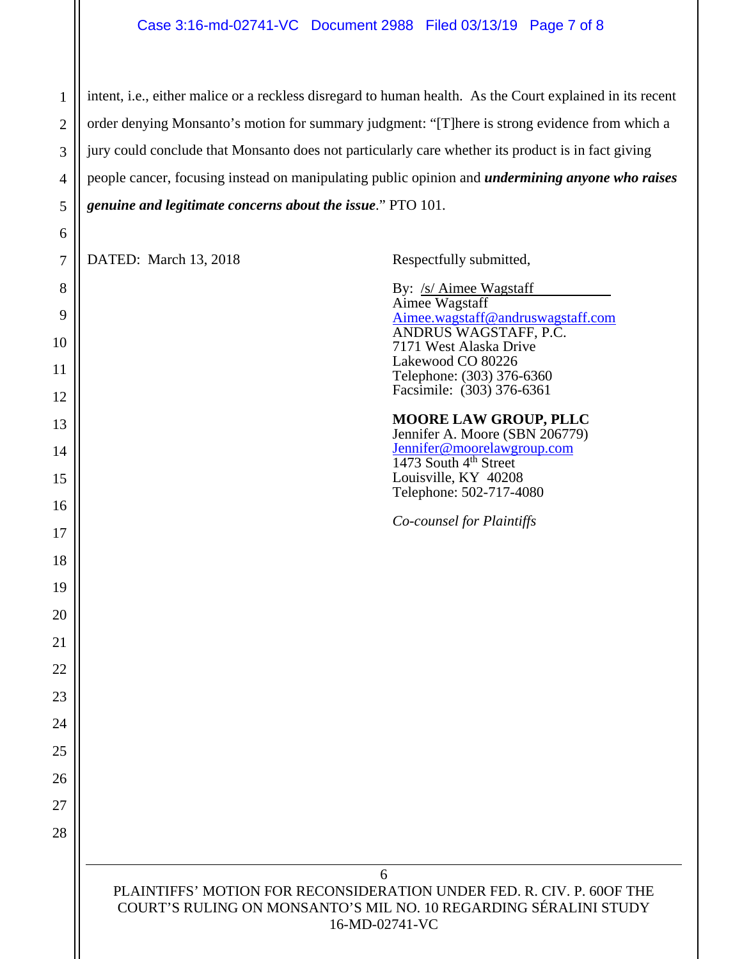#### Case 3:16-md-02741-VC Document 2988 Filed 03/13/19 Page 7 of 8

intent, i.e., either malice or a reckless disregard to human health. As the Court explained in its recent order denying Monsanto's motion for summary judgment: "[T]here is strong evidence from which a jury could conclude that Monsanto does not particularly care whether its product is in fact giving people cancer, focusing instead on manipulating public opinion and *undermining anyone who raises genuine and legitimate concerns about the issue*." PTO 101.

6 PLAINTIFFS' MOTION FOR RECONSIDERATION UNDER FED. R. CIV. P. 60OF THE COURT'S RULING ON MONSANTO'S MIL NO. 10 REGARDING SÉRALINI STUDY 7 8 9 DATED: March 13, 2018 Respectfully submitted, By: /s/ Aimee Wagstaff Aimee Wagstaff [Aimee.wagstaff@andruswagstaff.com](mailto:Aimee.wagstaff@andruswagstaff.com)  ANDRUS WAGSTAFF, P.C. 7171 West Alaska Drive Lakewood CO 80226 Telephone: (303) 376-6360 Facsimile: (303) 376-6361 **MOORE LAW GROUP, PLLC** Jennifer A. Moore (SBN 206779) Jennifer@moorelawgroup.com  $1473$  South  $4<sup>th</sup>$  Street Louisville, KY 40208 Telephone: 502-717-4080 *Co-counsel for Plaintiffs*

16-MD-02741-VC

1

2

3

4

5

6